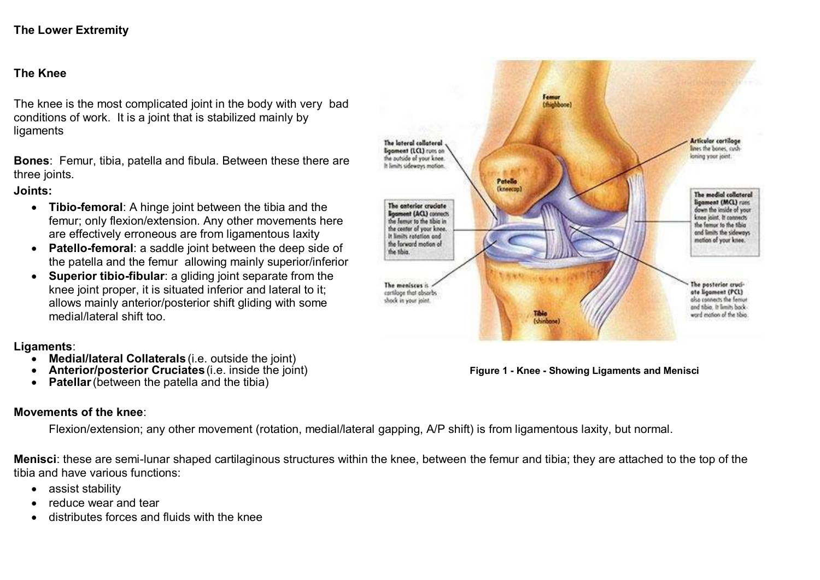## **The Lower Extremity**

## **The Knee**

The knee is the most complicated joint in the body with very bad conditions of work. It is a joint that is stabilized mainly by ligaments

**Bones**: Femur, tibia, patella and fibula. Between these there are three joints.

## **Joints:**

- **Tibio-femoral**: A hinge joint between the tibia and the femur; only flexion/extension. Any other movements here are effectively erroneous are from ligamentous laxity
- **Patello-femoral**: a saddle joint between the deep side of the patella and the femur allowing mainly superior/inferior
- **Superior tibio-fibular**: a gliding joint separate from the knee joint proper, it is situated inferior and lateral to it: allows mainly anterior/posterior shift gliding with some medial/lateral shift too.

## **Ligaments**:

- **Medial/lateral Collaterals** (i.e. outside the joint)
- **Anterior/posterior Cruciates**(i.e. inside the joint) **Figure 1 - Knee - Showing Ligaments and Menisci**
- **Patellar** (between the patella and the tibia)

## **Movements of the knee**:

Flexion/extension; any other movement (rotation, medial/lateral gapping, A/P shift) is from ligamentous laxity, but normal.

**Menisci**: these are semi-lunar shaped cartilaginous structures within the knee, between the femur and tibia; they are attached to the top of the tibia and have various functions:

- assist stability
- reduce wear and tear
- distributes forces and fluids with the knee

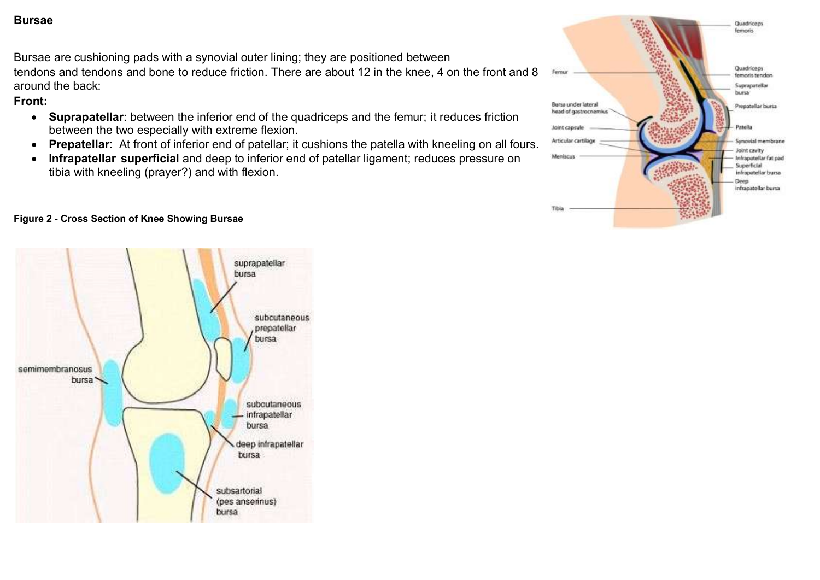## **Bursae**

Bursae are cushioning pads with a synovial outer lining; they are positioned between tendons and tendons and bone to reduce friction. There are about 12 in the knee, 4 on the front and 8 around the back:

## **Front:**

- **Suprapatellar**: between the inferior end of the quadriceps and the femur; it reduces friction between the two especially with extreme flexion.
- **Prepatellar**: At front of inferior end of patellar; it cushions the patella with kneeling on all fours.
- **Infrapatellar superficial** and deep to inferior end of patellar ligament; reduces pressure on tibia with kneeling (prayer?) and with flexion.



## **Figure 2 - Cross Section of Knee Showing Bursae**

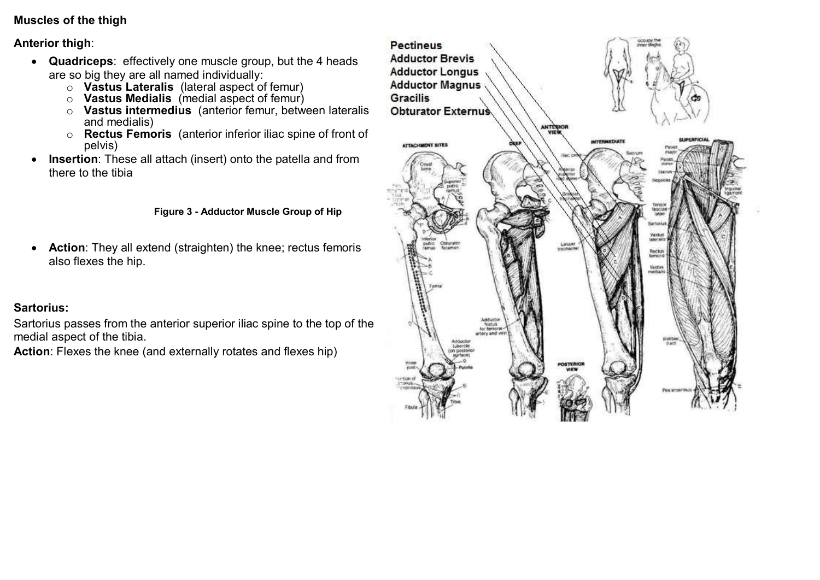# **Muscles of the thigh**

## **Anterior thigh**:

- **Quadriceps**: effectively one muscle group, but the 4 heads are so big they are all named individually:
	- o **Vastus Lateralis** (lateral aspect of femur)
	- o **Vastus Medialis** (medial aspect of femur)
	- o **Vastus intermedius** (anterior femur, between lateralis and medialis)
	- o **Rectus Femoris** (anterior inferior iliac spine of front of pelvis)
- **Insertion**: These all attach (insert) onto the patella and from there to the tibia

## **Figure 3 - Adductor Muscle Group of Hip**

 **Action**: They all extend (straighten) the knee; rectus femoris also flexes the hip.

# **Sartorius:**

Sartorius passes from the anterior superior iliac spine to the top of the medial aspect of the tibia.

**Action**: Flexes the knee (and externally rotates and flexes hip)

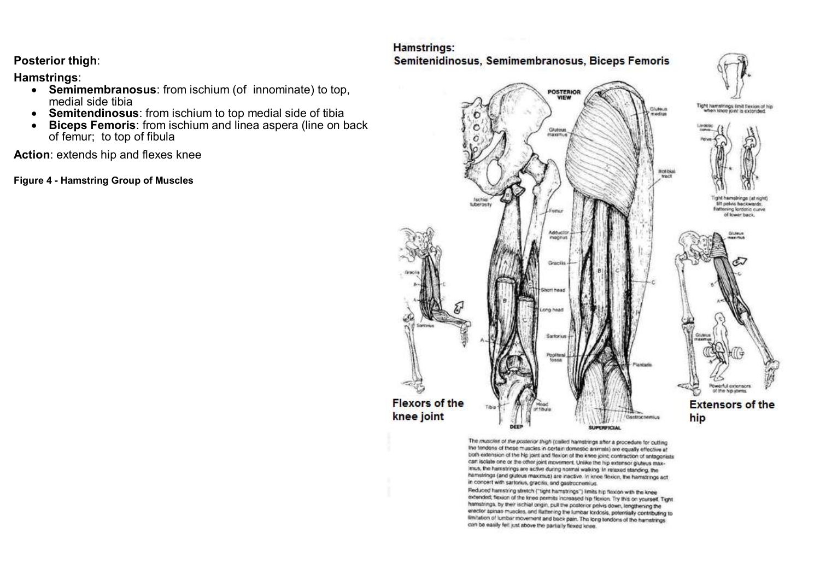**Posterior thigh**:

**Hamstrings**:

- **Semimembranosus**: from ischium (of innominate) to top, medial side tibia
- **Semitendinosus**: from ischium to top medial side of tibia
- **Biceps Femoris**: from ischium and linea aspera (line on back of femur; to top of fibula

**Action**: extends hip and flexes knee

**Figure 4 - Hamstring Group of Muscles**

## Hamstrings: Semitenidinosus, Semimembranosus, Biceps Femoris



The muscles of the posterior thigh (called hamstrings after a procedure for cutting the fendons of these muscles in certain domestic animals) are equally effective at both extension of the hip joint and flexion of the knee joint; contraction of antagonists can isolate one or the other joint movement. Unlike the hip extensor gluteus maximus, the hamstrings are active during normal walking. In relaxed standing, the hamstrings (and glutous maximus) are inactive. In knee flexion, the hamstrings act in concert with sartonus, gracilis, and gastrocnemius.

Reduced hamstring stretch ("tight hamstrings") limits hip flexion with the knee extended; flexion of the knee permits increased hip flexion. Try this on yourself. Tight hamstrings, by their ischial ongin, pull the posterior pelvis down, lengthening the erector spinae muscles, and flattening the lumbar lordosis, potentially contributing to limitation of lumbar movement and back pain. The long tendons of the harnstrings can be easily fell just above the partially flexed knee.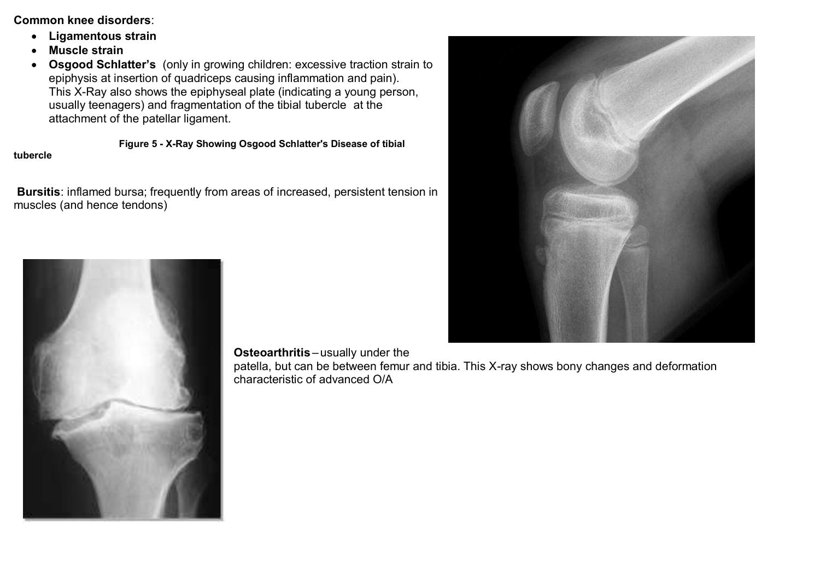## **Common knee disorders**:

- **Ligamentous strain**
- **Muscle strain**
- **Osgood Schlatter's** (only in growing children: excessive traction strain to epiphysis at insertion of quadriceps causing inflammation and pain). This X-Ray also shows the epiphyseal plate (indicating a young person, usually teenagers) and fragmentation of the tibial tubercle at the attachment of the patellar ligament.

## **Figure 5 - X-Ray Showing Osgood Schlatter's Disease of tibial**

#### **tubercle**

**Bursitis**: inflamed bursa; frequently from areas of increased, persistent tension in muscles (and hence tendons)



**Osteoarthritis** – usually under the

patella, but can be between femur and tibia. This X-ray shows bony changes and deformation characteristic of advanced O/A

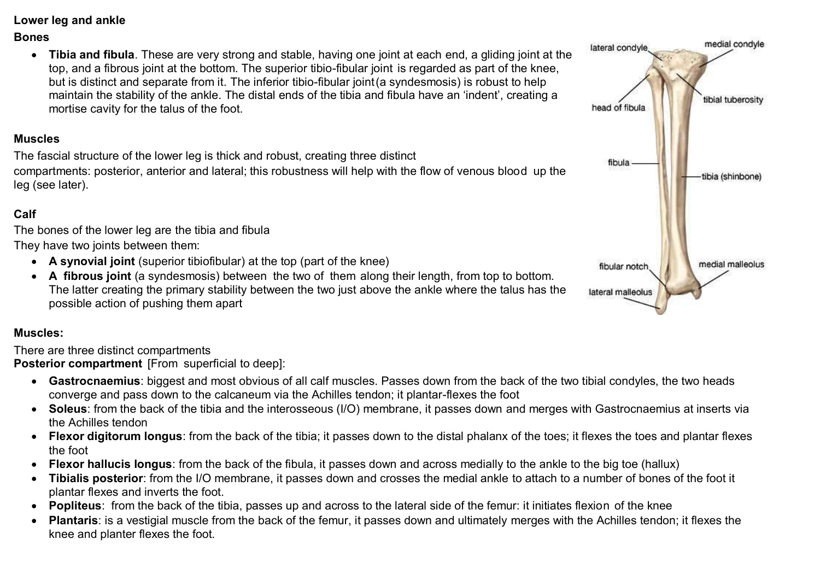**Lower leg and ankle**

## **Bones**

 **Tibia and fibula**. These are very strong and stable, having one joint at each end, a gliding joint at the top, and a fibrous joint at the bottom. The superior tibio-fibular joint is regarded as part of the knee, but is distinct and separate from it. The inferior tibio-fibular joint(a syndesmosis) is robust to help maintain the stability of the ankle. The distal ends of the tibia and fibula have an 'indent', creating a mortise cavity for the talus of the foot.

# **Muscles**

The fascial structure of the lower leg is thick and robust, creating three distinct compartments: posterior, anterior and lateral; this robustness will help with the flow of venous blood up the leg (see later).

# **Calf**

The bones of the lower leg are the tibia and fibula

- They have two joints between them:
	- **A synovial joint** (superior tibiofibular) at the top (part of the knee)
	- **A fibrous joint** (a syndesmosis) between the two of them along their length, from top to bottom. The latter creating the primary stability between the two just above the ankle where the talus has the possible action of pushing them apart

# **Muscles:**

There are three distinct compartments

**Posterior compartment** [From superficial to deep]:

- **Gastrocnaemius**: biggest and most obvious of all calf muscles. Passes down from the back of the two tibial condyles, the two heads converge and pass down to the calcaneum via the Achilles tendon; it plantar-flexes the foot
- **Soleus**: from the back of the tibia and the interosseous (I/O) membrane, it passes down and merges with Gastrocnaemius at inserts via the Achilles tendon
- **Flexor digitorum longus**: from the back of the tibia; it passes down to the distal phalanx of the toes; it flexes the toes and plantar flexes the foot
- **Flexor hallucis longus**: from the back of the fibula, it passes down and across medially to the ankle to the big toe (hallux)
- **Tibialis posterior**: from the I/O membrane, it passes down and crosses the medial ankle to attach to a number of bones of the foot it plantar flexes and inverts the foot.
- **Popliteus**: from the back of the tibia, passes up and across to the lateral side of the femur: it initiates flexion of the knee
- **Plantaris**: is a vestigial muscle from the back of the femur, it passes down and ultimately merges with the Achilles tendon; it flexes the knee and planter flexes the foot.

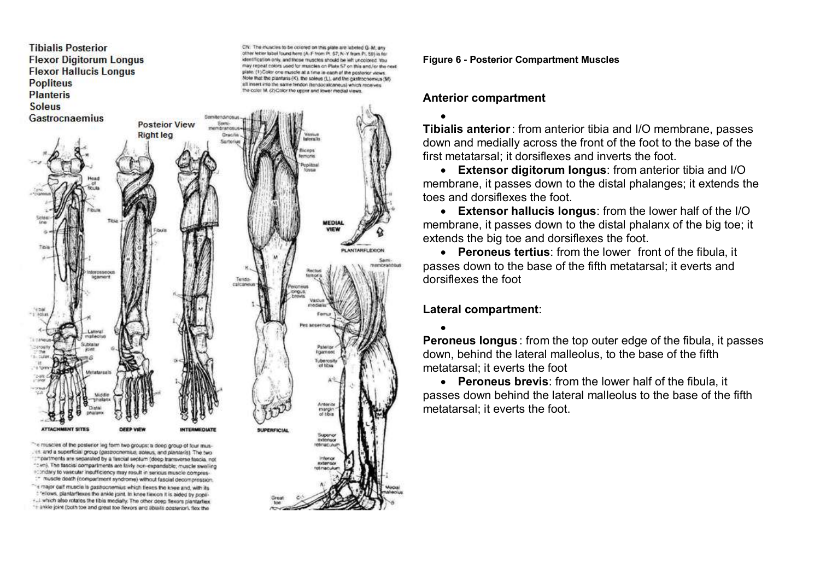**Tibialis Posterior** CN: The muscles to be colored on this plate are labeled G-M; any other letter label found here (A-F from PI 57; N-Y from PI, SB) is for **Flexor Digitorum Longus** dentification only, and those muscles should be left uncolored. You may repeat colors used for muscles on Plate 57 on this and/or the next **Flexor Hallucis Longus** plate. (1) Color one muscle at a time in each of the posterior views. Note that the plantaris (K), the soleue (L), and the gastrochemius (M) **Popliteus** all intert into the same tendon (tendocalcaneus) which receives the color M. (2) Color the upper and lower medial views. **Planteris Soleus** Gastrocnaemius **Posteior View Right leg** MEDIAL **PLANTARFLEXION** nembrandske Terrido reineneu Anterior mangin<br>of tibia Superior "-e muscles of the posterior leg form two groups; a deep group of four mus-. +1 and a superficial group (gastrocnemius, soleus, and plantaris). The two "Impartments are separated by a fascial septum (deep transverse fascia, not "Cwn). The fascial compartments are fairly non-expandable; muscle swelling econdary to vascular insufficiency may result in serious muscle compres-:" muscle death (compartment syndrome) without fascial decompression. - e-major call muscle is gastrocnemius which flexes the knee and, with its

: 'ellows, plantarflexes the anide joint. In knee flexion it is aided by popli-+.i which also rotates the tibia medially. The other deep flexors plantarties. "+ ankle joint (both toe and great toe flexors and tibialis posterior), flex the

**Figure 6 - Posterior Compartment Muscles**

## **Anterior compartment**

 $\bullet$ **Tibialis anterior**: from anterior tibia and I/O membrane, passes down and medially across the front of the foot to the base of the first metatarsal; it dorsiflexes and inverts the foot.

 **Extensor digitorum longus**: from anterior tibia and I/O membrane, it passes down to the distal phalanges; it extends the toes and dorsiflexes the foot.

 **Extensor hallucis longus**: from the lower half of the I/O membrane, it passes down to the distal phalanx of the big toe; it extends the big toe and dorsiflexes the foot.

 **Peroneus tertius**: from the lower front of the fibula, it passes down to the base of the fifth metatarsal; it everts and dorsiflexes the foot

**Lateral compartment**:

 $\bullet$ **Peroneus longus** : from the top outer edge of the fibula, it passes down, behind the lateral malleolus, to the base of the fifth metatarsal; it everts the foot

 **Peroneus brevis**: from the lower half of the fibula, it passes down behind the lateral malleolus to the base of the fifth metatarsal; it everts the foot.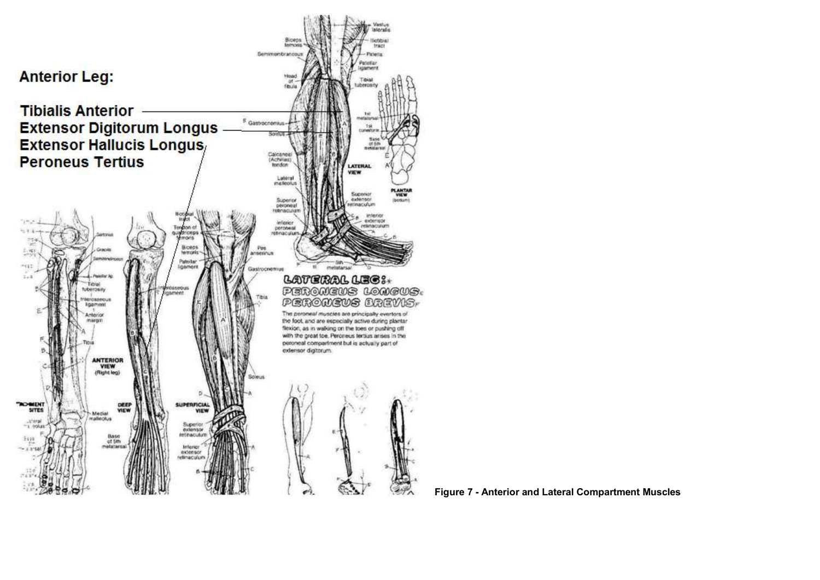

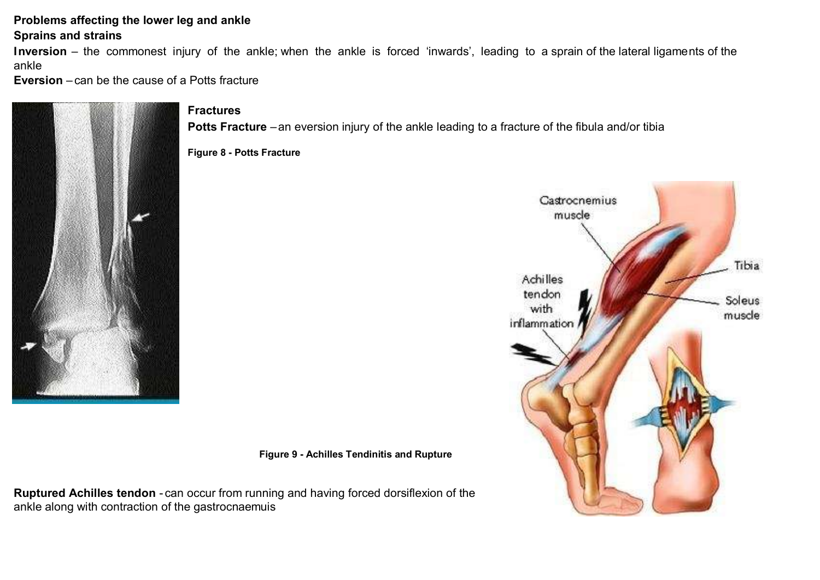# **Problems affecting the lower leg and ankle**

## **Sprains and strains**

**Inversion** – the commonest injury of the ankle; when the ankle is forced 'inwards', leading to a sprain of the lateral ligaments of the ankle

**Eversion** – can be the cause of a Potts fracture



## **Fractures**

**Potts Fracture** –an eversion injury of the ankle leading to a fracture of the fibula and/or tibia

**Figure 8 - Potts Fracture**



**Figure 9 - Achilles Tendinitis and Rupture**

**Ruptured Achilles tendon** - can occur from running and having forced dorsiflexion of the ankle along with contraction of the gastrocnaemuis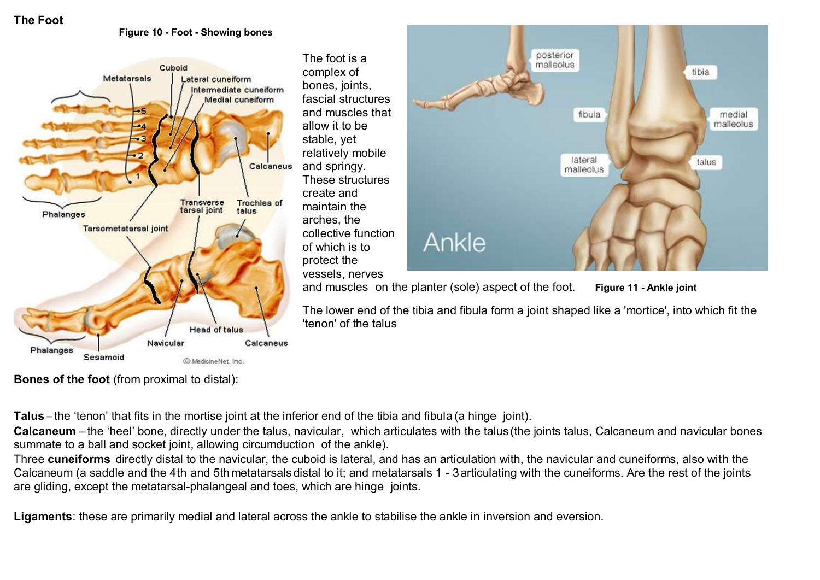## **The Foot**

#### **Figure 10 - Foot - Showing bones**



The foot is a complex of bones, joints, fascial structures and muscles that allow it to be stable, yet relatively mobile and springy. These structures create and maintain the arches, the collective function of which is to protect the vessels, nerves



and muscles on the planter (sole) aspect of the foot. **Figure 11 - Ankle joint**

The lower end of the tibia and fibula form a joint shaped like a 'mortice', into which fit the 'tenon' of the talus

**Bones of the foot** (from proximal to distal):

**Talus** – the 'tenon' that fits in the mortise joint at the inferior end of the tibia and fibula (a hinge joint).

**Calcaneum** – the 'heel' bone, directly under the talus, navicular, which articulates with the talus(the joints talus, Calcaneum and navicular bones summate to a ball and socket joint, allowing circumduction of the ankle).

Three **cuneiforms** directly distal to the navicular, the cuboid is lateral, and has an articulation with, the navicular and cuneiforms, also with the Calcaneum (a saddle and the 4th and 5th metatarsals distal to it; and metatarsals 1 - 3articulating with the cuneiforms. Are the rest of the joints are gliding, except the metatarsal-phalangeal and toes, which are hinge joints.

**Ligaments**: these are primarily medial and lateral across the ankle to stabilise the ankle in inversion and eversion.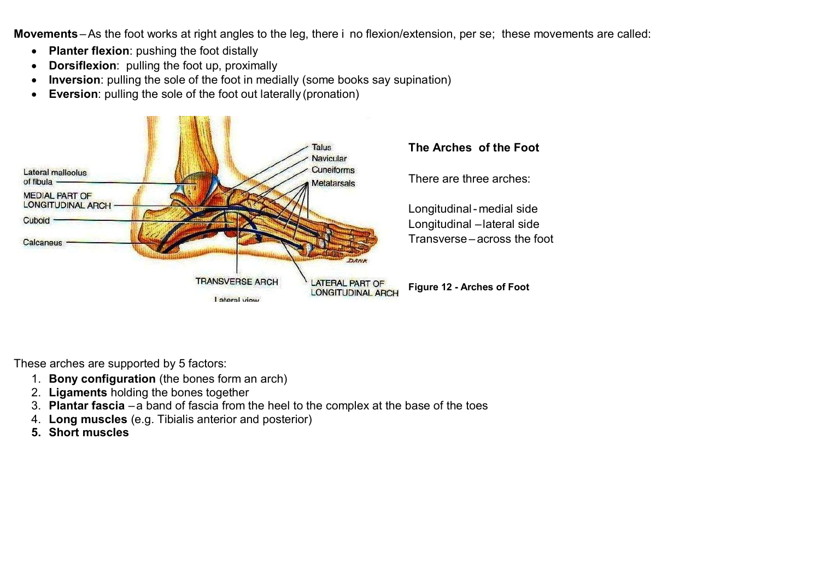**Movements** –As the foot works at right angles to the leg, there i no flexion/extension, per se; these movements are called:

- **Planter flexion**: pushing the foot distally
- **Dorsiflexion**: pulling the foot up, proximally
- **Inversion**: pulling the sole of the foot in medially (some books say supination)
- **Eversion**: pulling the sole of the foot out laterally (pronation)



These arches are supported by 5 factors:

- 1. **Bony configuration** (the bones form an arch)
- 2. **Ligaments** holding the bones together
- 3. **Plantar fascia** –a band of fascia from the heel to the complex at the base of the toes
- 4. **Long muscles** (e.g. Tibialis anterior and posterior)
- **5. Short muscles**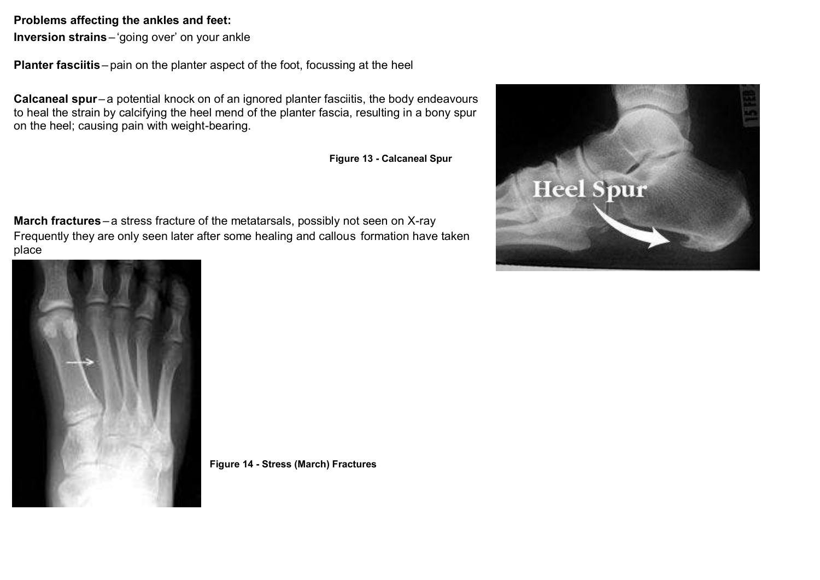## **Problems affecting the ankles and feet:**

**Inversion strains** – 'going over' on your ankle

**Planter fasciitis** – pain on the planter aspect of the foot, focussing at the heel

**Calcaneal spur**– a potential knock on of an ignored planter fasciitis, the body endeavours to heal the strain by calcifying the heel mend of the planter fascia, resulting in a bony spur on the heel; causing pain with weight-bearing.

**Figure 13 - Calcaneal Spur**

**March fractures** – a stress fracture of the metatarsals, possibly not seen on X-ray Frequently they are only seen later after some healing and callous formation have taken place





**Figure 14 - Stress (March) Fractures**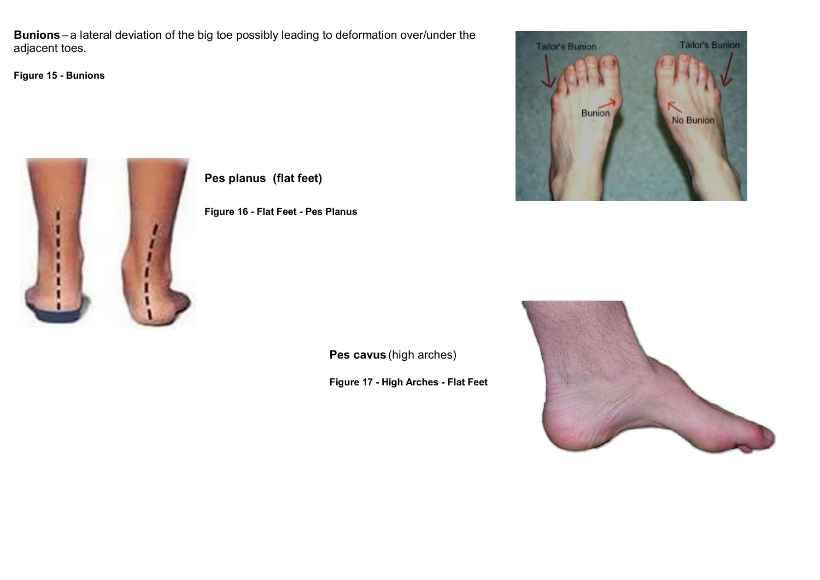**Bunions** – a lateral deviation of the big toe possibly leading to deformation over/under the adjacent toes.

**Figure 15 - Bunions**





**Pes planus (flat feet)** 

**Figure 16 - Flat Feet - Pes Planus**

**Pes cavus** (high arches)

**Figure 17 - High Arches - Flat Feet**